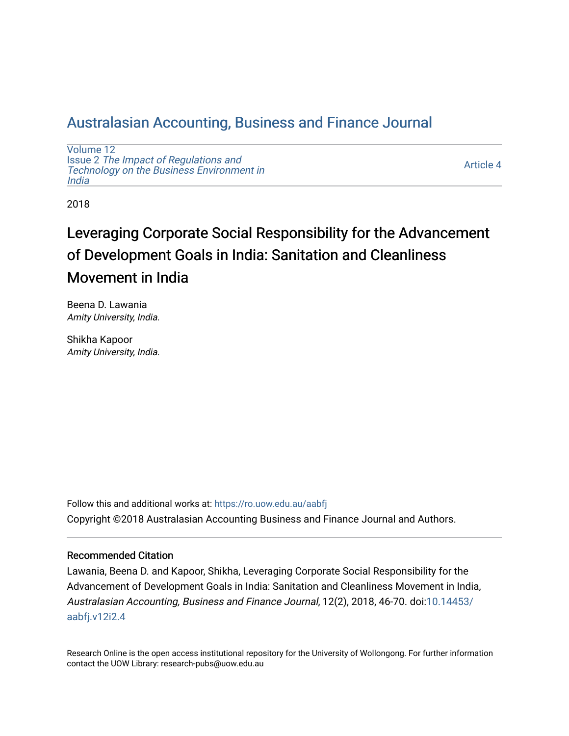# [Australasian Accounting, Business and Finance Journal](https://ro.uow.edu.au/aabfj)

[Volume 12](https://ro.uow.edu.au/aabfj/vol12) Issue 2 [The Impact of Regulations and](https://ro.uow.edu.au/aabfj/vol12/iss2) [Technology on the Business Environment in](https://ro.uow.edu.au/aabfj/vol12/iss2) [India](https://ro.uow.edu.au/aabfj/vol12/iss2) 

[Article 4](https://ro.uow.edu.au/aabfj/vol12/iss2/4) 

2018

# Leveraging Corporate Social Responsibility for the Advancement of Development Goals in India: Sanitation and Cleanliness Movement in India

Beena D. Lawania Amity University, India.

Shikha Kapoor Amity University, India.

Follow this and additional works at: [https://ro.uow.edu.au/aabfj](https://ro.uow.edu.au/aabfj?utm_source=ro.uow.edu.au%2Faabfj%2Fvol12%2Fiss2%2F4&utm_medium=PDF&utm_campaign=PDFCoverPages) Copyright ©2018 Australasian Accounting Business and Finance Journal and Authors.

#### Recommended Citation

Lawania, Beena D. and Kapoor, Shikha, Leveraging Corporate Social Responsibility for the Advancement of Development Goals in India: Sanitation and Cleanliness Movement in India, Australasian Accounting, Business and Finance Journal, 12(2), 2018, 46-70. doi[:10.14453/](http://dx.doi.org/10.14453/aabfj.v12i2.4) [aabfj.v12i2.4](http://dx.doi.org/10.14453/aabfj.v12i2.4)

Research Online is the open access institutional repository for the University of Wollongong. For further information contact the UOW Library: research-pubs@uow.edu.au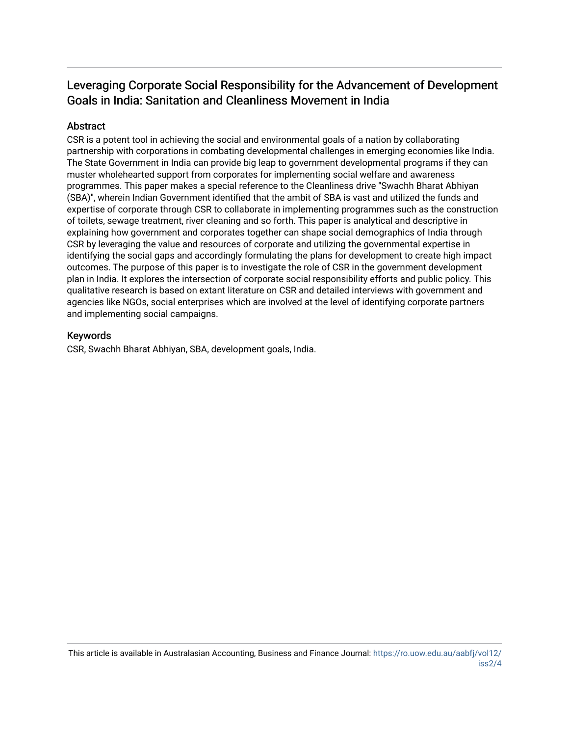# Leveraging Corporate Social Responsibility for the Advancement of Development Goals in India: Sanitation and Cleanliness Movement in India

#### Abstract

CSR is a potent tool in achieving the social and environmental goals of a nation by collaborating partnership with corporations in combating developmental challenges in emerging economies like India. The State Government in India can provide big leap to government developmental programs if they can muster wholehearted support from corporates for implementing social welfare and awareness programmes. This paper makes a special reference to the Cleanliness drive "Swachh Bharat Abhiyan (SBA)", wherein Indian Government identified that the ambit of SBA is vast and utilized the funds and expertise of corporate through CSR to collaborate in implementing programmes such as the construction of toilets, sewage treatment, river cleaning and so forth. This paper is analytical and descriptive in explaining how government and corporates together can shape social demographics of India through CSR by leveraging the value and resources of corporate and utilizing the governmental expertise in identifying the social gaps and accordingly formulating the plans for development to create high impact outcomes. The purpose of this paper is to investigate the role of CSR in the government development plan in India. It explores the intersection of corporate social responsibility efforts and public policy. This qualitative research is based on extant literature on CSR and detailed interviews with government and agencies like NGOs, social enterprises which are involved at the level of identifying corporate partners and implementing social campaigns.

#### Keywords

CSR, Swachh Bharat Abhiyan, SBA, development goals, India.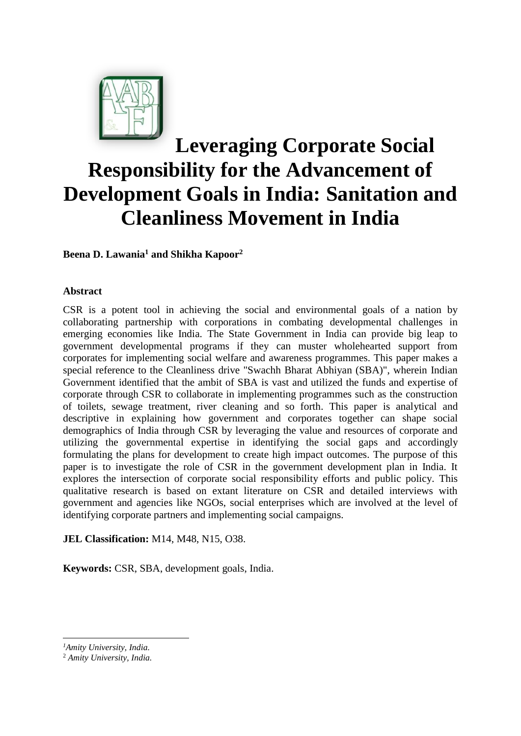

# **Leveraging Corporate Social Responsibility for the Advancement of Development Goals in India: Sanitation and Cleanliness Movement in India**

**Beena D. Lawania<sup>1</sup> and Shikha Kapoor<sup>2</sup>**

#### **Abstract**

CSR is a potent tool in achieving the social and environmental goals of a nation by collaborating partnership with corporations in combating developmental challenges in emerging economies like India. The State Government in India can provide big leap to government developmental programs if they can muster wholehearted support from corporates for implementing social welfare and awareness programmes. This paper makes a special reference to the Cleanliness drive "Swachh Bharat Abhiyan (SBA)", wherein Indian Government identified that the ambit of SBA is vast and utilized the funds and expertise of corporate through CSR to collaborate in implementing programmes such as the construction of toilets, sewage treatment, river cleaning and so forth. This paper is analytical and descriptive in explaining how government and corporates together can shape social demographics of India through CSR by leveraging the value and resources of corporate and utilizing the governmental expertise in identifying the social gaps and accordingly formulating the plans for development to create high impact outcomes. The purpose of this paper is to investigate the role of CSR in the government development plan in India. It explores the intersection of corporate social responsibility efforts and public policy. This qualitative research is based on extant literature on CSR and detailed interviews with government and agencies like NGOs, social enterprises which are involved at the level of identifying corporate partners and implementing social campaigns.

**JEL Classification:** M14, M48, N15, O38.

**Keywords:** CSR, SBA, development goals, India.

1

*<sup>1</sup>Amity University, India.* 

<sup>2</sup> *Amity University, India.*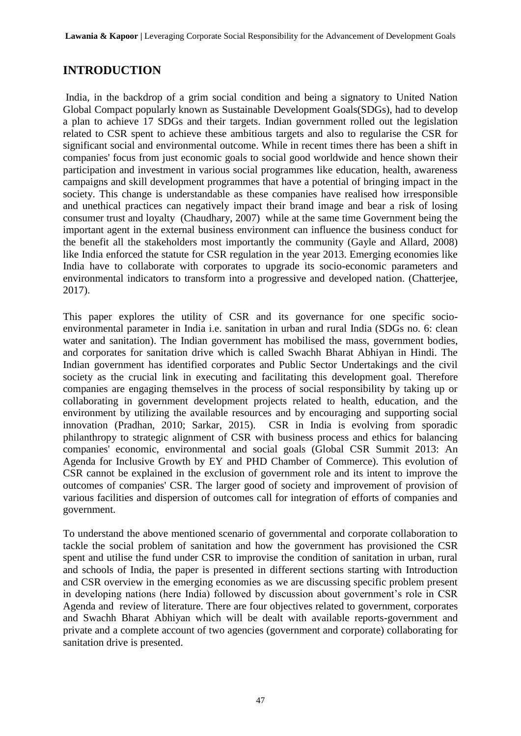# **INTRODUCTION**

India, in the backdrop of a grim social condition and being a signatory to United Nation Global Compact popularly known as Sustainable Development Goals(SDGs), had to develop a plan to achieve 17 SDGs and their targets. Indian government rolled out the legislation related to CSR spent to achieve these ambitious targets and also to regularise the CSR for significant social and environmental outcome. While in recent times there has been a shift in companies' focus from just economic goals to social good worldwide and hence shown their participation and investment in various social programmes like education, health, awareness campaigns and skill development programmes that have a potential of bringing impact in the society. This change is understandable as these companies have realised how irresponsible and unethical practices can negatively impact their brand image and bear a risk of losing consumer trust and loyalty (Chaudhary, 2007) while at the same time Government being the important agent in the external business environment can influence the business conduct for the benefit all the stakeholders most importantly the community (Gayle and Allard, 2008) like India enforced the statute for CSR regulation in the year 2013. Emerging economies like India have to collaborate with corporates to upgrade its socio-economic parameters and environmental indicators to transform into a progressive and developed nation. (Chatterjee, 2017).

This paper explores the utility of CSR and its governance for one specific socioenvironmental parameter in India i.e. sanitation in urban and rural India (SDGs no. 6: clean water and sanitation). The Indian government has mobilised the mass, government bodies, and corporates for sanitation drive which is called Swachh Bharat Abhiyan in Hindi. The Indian government has identified corporates and Public Sector Undertakings and the civil society as the crucial link in executing and facilitating this development goal. Therefore companies are engaging themselves in the process of social responsibility by taking up or collaborating in government development projects related to health, education, and the environment by utilizing the available resources and by encouraging and supporting social innovation (Pradhan, 2010; Sarkar, 2015). CSR in India is evolving from sporadic philanthropy to strategic alignment of CSR with business process and ethics for balancing companies' economic, environmental and social goals (Global CSR Summit 2013: An Agenda for Inclusive Growth by EY and PHD Chamber of Commerce). This evolution of CSR cannot be explained in the exclusion of government role and its intent to improve the outcomes of companies' CSR. The larger good of society and improvement of provision of various facilities and dispersion of outcomes call for integration of efforts of companies and government.

To understand the above mentioned scenario of governmental and corporate collaboration to tackle the social problem of sanitation and how the government has provisioned the CSR spent and utilise the fund under CSR to improvise the condition of sanitation in urban, rural and schools of India, the paper is presented in different sections starting with Introduction and CSR overview in the emerging economies as we are discussing specific problem present in developing nations (here India) followed by discussion about government's role in CSR Agenda and review of literature. There are four objectives related to government, corporates and Swachh Bharat Abhiyan which will be dealt with available reports-government and private and a complete account of two agencies (government and corporate) collaborating for sanitation drive is presented.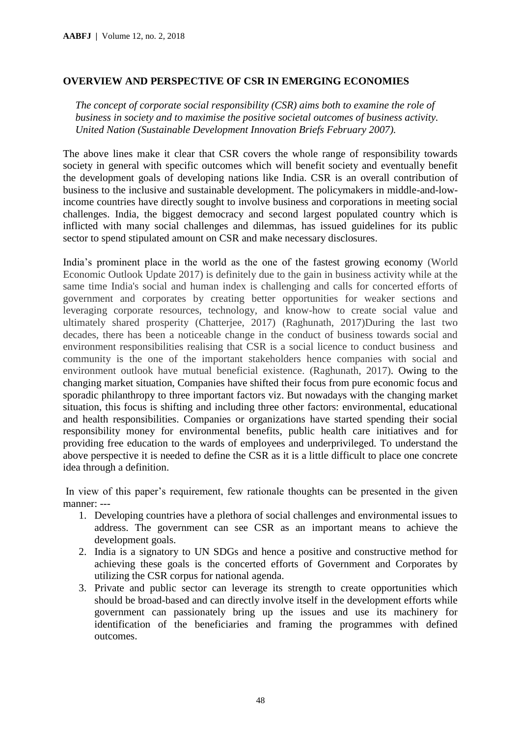#### **OVERVIEW AND PERSPECTIVE OF CSR IN EMERGING ECONOMIES**

*The concept of corporate social responsibility (CSR) aims both to examine the role of business in society and to maximise the positive societal outcomes of business activity. United Nation (Sustainable Development Innovation Briefs February 2007).*

The above lines make it clear that CSR covers the whole range of responsibility towards society in general with specific outcomes which will benefit society and eventually benefit the development goals of developing nations like India. CSR is an overall contribution of business to the inclusive and sustainable development. The policymakers in middle-and-lowincome countries have directly sought to involve business and corporations in meeting social challenges. India, the biggest democracy and second largest populated country which is inflicted with many social challenges and dilemmas, has issued guidelines for its public sector to spend stipulated amount on CSR and make necessary disclosures.

India's prominent place in the world as the one of the fastest growing economy (World Economic Outlook Update 2017) is definitely due to the gain in business activity while at the same time India's social and human index is challenging and calls for concerted efforts of government and corporates by creating better opportunities for weaker sections and leveraging corporate resources, technology, and know-how to create social value and ultimately shared prosperity (Chatterjee, 2017) (Raghunath, 2017)During the last two decades, there has been a noticeable change in the conduct of business towards social and environment responsibilities realising that CSR is a social licence to conduct business and community is the one of the important stakeholders hence companies with social and environment outlook have mutual beneficial existence. (Raghunath, 2017). Owing to the changing market situation, Companies have shifted their focus from pure economic focus and sporadic philanthropy to three important factors viz. But nowadays with the changing market situation, this focus is shifting and including three other factors: environmental, educational and health responsibilities. Companies or organizations have started spending their social responsibility money for environmental benefits, public health care initiatives and for providing free education to the wards of employees and underprivileged. To understand the above perspective it is needed to define the CSR as it is a little difficult to place one concrete idea through a definition.

In view of this paper's requirement, few rationale thoughts can be presented in the given manner: ---

- 1. Developing countries have a plethora of social challenges and environmental issues to address. The government can see CSR as an important means to achieve the development goals.
- 2. India is a signatory to UN SDGs and hence a positive and constructive method for achieving these goals is the concerted efforts of Government and Corporates by utilizing the CSR corpus for national agenda.
- 3. Private and public sector can leverage its strength to create opportunities which should be broad-based and can directly involve itself in the development efforts while government can passionately bring up the issues and use its machinery for identification of the beneficiaries and framing the programmes with defined outcomes.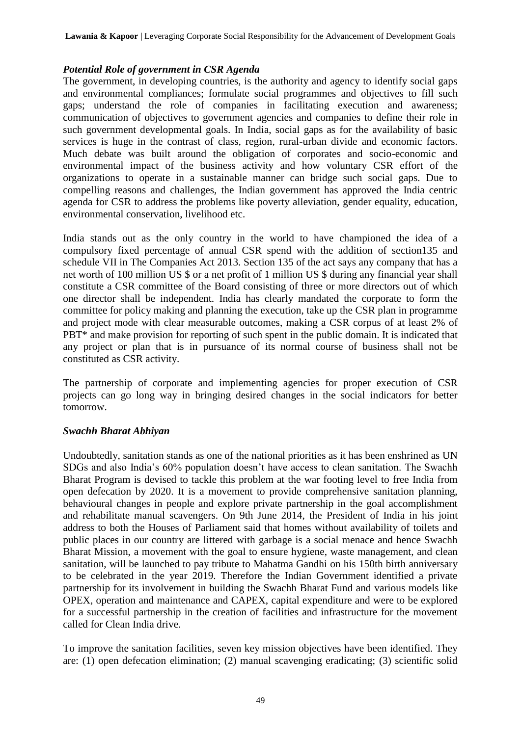**Lawania & Kapoor |** Leveraging Corporate Social Responsibility for the Advancement of Development Goals

#### *Potential Role of government in CSR Agenda*

The government, in developing countries, is the authority and agency to identify social gaps and environmental compliances; formulate social programmes and objectives to fill such gaps; understand the role of companies in facilitating execution and awareness; communication of objectives to government agencies and companies to define their role in such government developmental goals. In India, social gaps as for the availability of basic services is huge in the contrast of class, region, rural-urban divide and economic factors. Much debate was built around the obligation of corporates and socio-economic and environmental impact of the business activity and how voluntary CSR effort of the organizations to operate in a sustainable manner can bridge such social gaps. Due to compelling reasons and challenges, the Indian government has approved the India centric agenda for CSR to address the problems like poverty alleviation, gender equality, education, environmental conservation, livelihood etc.

India stands out as the only country in the world to have championed the idea of a compulsory fixed percentage of annual CSR spend with the addition of section135 and schedule VII in The Companies Act 2013. Section 135 of the act says any company that has a net worth of 100 million US \$ or a net profit of 1 million US \$ during any financial year shall constitute a CSR committee of the Board consisting of three or more directors out of which one director shall be independent. India has clearly mandated the corporate to form the committee for policy making and planning the execution, take up the CSR plan in programme and project mode with clear measurable outcomes, making a CSR corpus of at least 2% of PBT<sup>\*</sup> and make provision for reporting of such spent in the public domain. It is indicated that any project or plan that is in pursuance of its normal course of business shall not be constituted as CSR activity.

The partnership of corporate and implementing agencies for proper execution of CSR projects can go long way in bringing desired changes in the social indicators for better tomorrow.

#### *Swachh Bharat Abhiyan*

Undoubtedly, sanitation stands as one of the national priorities as it has been enshrined as UN SDGs and also India's 60% population doesn't have access to clean sanitation. The Swachh Bharat Program is devised to tackle this problem at the war footing level to free India from open defecation by 2020. It is a movement to provide comprehensive sanitation planning, behavioural changes in people and explore private partnership in the goal accomplishment and rehabilitate manual scavengers. On 9th June 2014, the President of India in his joint address to both the Houses of Parliament said that homes without availability of toilets and public places in our country are littered with garbage is a social menace and hence Swachh Bharat Mission, a movement with the goal to ensure hygiene, waste management, and clean sanitation, will be launched to pay tribute to Mahatma Gandhi on his 150th birth anniversary to be celebrated in the year 2019. Therefore the Indian Government identified a private partnership for its involvement in building the Swachh Bharat Fund and various models like OPEX, operation and maintenance and CAPEX, capital expenditure and were to be explored for a successful partnership in the creation of facilities and infrastructure for the movement called for Clean India drive.

To improve the sanitation facilities, seven key mission objectives have been identified. They are: (1) open defecation elimination; (2) manual scavenging eradicating; (3) scientific solid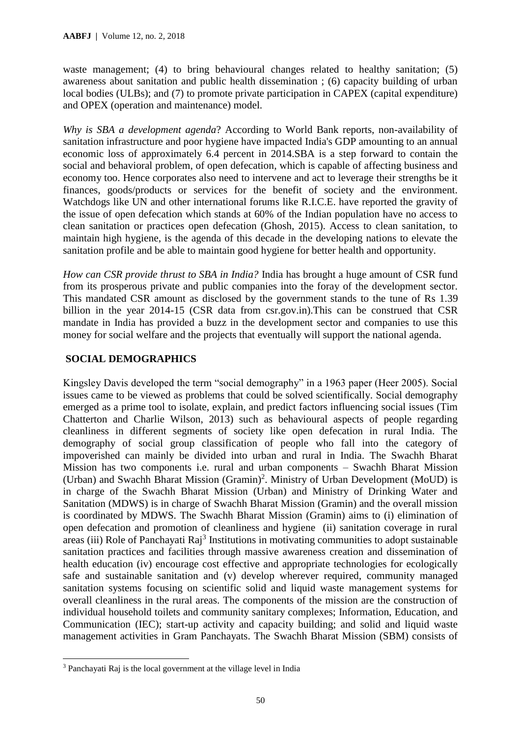waste management; (4) to bring behavioural changes related to healthy sanitation; (5) awareness about sanitation and public health dissemination ; (6) capacity building of urban local bodies (ULBs); and (7) to promote private participation in CAPEX (capital expenditure) and OPEX (operation and maintenance) model.

*Why is SBA a development agenda*? According to World Bank reports, non-availability of sanitation infrastructure and poor hygiene have impacted India's GDP amounting to an annual economic loss of approximately 6.4 percent in 2014.SBA is a step forward to contain the social and behavioral problem, of open defecation, which is capable of affecting business and economy too. Hence corporates also need to intervene and act to leverage their strengths be it finances, goods/products or services for the benefit of society and the environment. Watchdogs like UN and other international forums like R.I.C.E. have reported the gravity of the issue of open defecation which stands at 60% of the Indian population have no access to clean sanitation or practices open defecation (Ghosh, 2015). Access to clean sanitation, to maintain high hygiene, is the agenda of this decade in the developing nations to elevate the sanitation profile and be able to maintain good hygiene for better health and opportunity.

*How can CSR provide thrust to SBA in India?* India has brought a huge amount of CSR fund from its prosperous private and public companies into the foray of the development sector. This mandated CSR amount as disclosed by the government stands to the tune of Rs 1.39 billion in the year 2014-15 (CSR data from csr.gov.in).This can be construed that CSR mandate in India has provided a buzz in the development sector and companies to use this money for social welfare and the projects that eventually will support the national agenda.

#### **SOCIAL DEMOGRAPHICS**

Kingsley Davis developed the term "social demography" in a 1963 paper (Heer 2005). Social issues came to be viewed as problems that could be solved scientifically. Social demography emerged as a prime tool to isolate, explain, and predict factors influencing social issues (Tim Chatterton and Charlie Wilson, 2013) such as behavioural aspects of people regarding cleanliness in different segments of society like open defecation in rural India. The demography of social group classification of people who fall into the category of impoverished can mainly be divided into urban and rural in India. The Swachh Bharat Mission has two components i.e. rural and urban components – Swachh Bharat Mission (Urban) and Swachh Bharat Mission (Gramin)<sup>2</sup>. Ministry of Urban Development (MoUD) is in charge of the Swachh Bharat Mission (Urban) and Ministry of Drinking Water and Sanitation (MDWS) is in charge of Swachh Bharat Mission (Gramin) and the overall mission is coordinated by MDWS. The Swachh Bharat Mission (Gramin) aims to (i) elimination of open defecation and promotion of cleanliness and hygiene (ii) sanitation coverage in rural areas (iii) Role of Panchayati Raj<sup>3</sup> Institutions in motivating communities to adopt sustainable sanitation practices and facilities through massive awareness creation and dissemination of health education (iv) encourage cost effective and appropriate technologies for ecologically safe and sustainable sanitation and (v) develop wherever required, community managed sanitation systems focusing on scientific solid and liquid waste management systems for overall cleanliness in the rural areas. The components of the mission are the construction of individual household toilets and community sanitary complexes; Information, Education, and Communication (IEC); start-up activity and capacity building; and solid and liquid waste management activities in Gram Panchayats. The Swachh Bharat Mission (SBM) consists of

**-**

<sup>3</sup> Panchayati Raj is the local government at the village level in India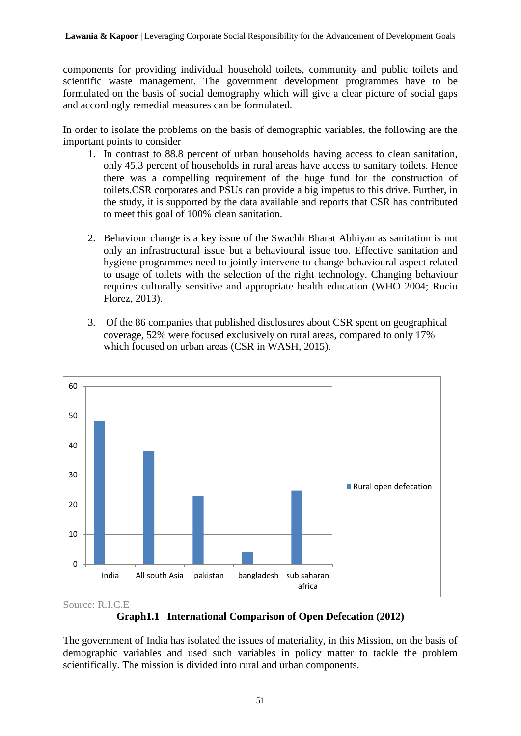components for providing individual household toilets, community and public toilets and scientific waste management. The government development programmes have to be formulated on the basis of social demography which will give a clear picture of social gaps and accordingly remedial measures can be formulated.

In order to isolate the problems on the basis of demographic variables, the following are the important points to consider

- 1. In contrast to 88.8 percent of urban households having access to clean sanitation, only 45.3 percent of households in rural areas have access to sanitary toilets. Hence there was a compelling requirement of the huge fund for the construction of toilets.CSR corporates and PSUs can provide a big impetus to this drive. Further, in the study, it is supported by the data available and reports that CSR has contributed to meet this goal of 100% clean sanitation.
- 2. Behaviour change is a key issue of the Swachh Bharat Abhiyan as sanitation is not only an infrastructural issue but a behavioural issue too. Effective sanitation and hygiene programmes need to jointly intervene to change behavioural aspect related to usage of toilets with the selection of the right technology. Changing behaviour requires culturally sensitive and appropriate health education (WHO 2004; Rocio Florez, 2013).
- 3. Of the 86 companies that published disclosures about CSR spent on geographical coverage, 52% were focused exclusively on rural areas, compared to only 17% which focused on urban areas (CSR in WASH, 2015).



Source: R.I.C.E

**Graph1.1 International Comparison of Open Defecation (2012)**

The government of India has isolated the issues of materiality, in this Mission, on the basis of demographic variables and used such variables in policy matter to tackle the problem scientifically. The mission is divided into rural and urban components.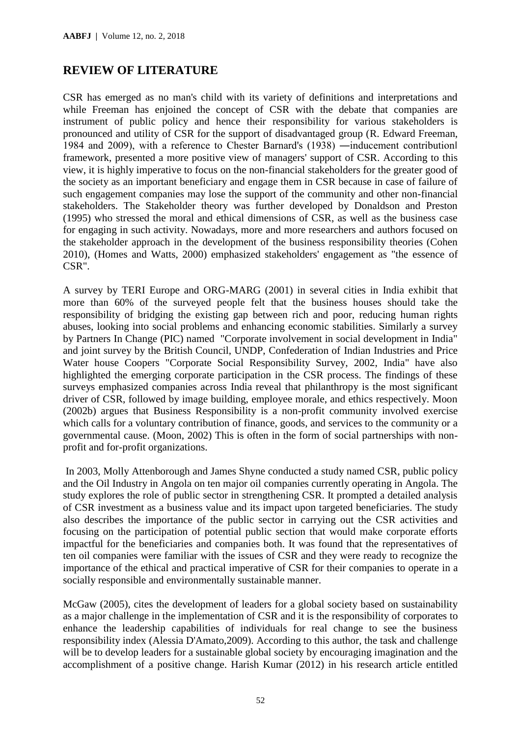## **REVIEW OF LITERATURE**

CSR has emerged as no man's child with its variety of definitions and interpretations and while Freeman has enjoined the concept of CSR with the debate that companies are instrument of public policy and hence their responsibility for various stakeholders is pronounced and utility of CSR for the support of disadvantaged group (R. Edward Freeman, 1984 and 2009), with a reference to Chester Barnard's (1938) ―inducement contribution‖ framework, presented a more positive view of managers' support of CSR. According to this view, it is highly imperative to focus on the non-financial stakeholders for the greater good of the society as an important beneficiary and engage them in CSR because in case of failure of such engagement companies may lose the support of the community and other non-financial stakeholders. The Stakeholder theory was further developed by Donaldson and Preston (1995) who stressed the moral and ethical dimensions of CSR, as well as the business case for engaging in such activity. Nowadays, more and more researchers and authors focused on the stakeholder approach in the development of the business responsibility theories (Cohen 2010), (Homes and Watts, 2000) emphasized stakeholders' engagement as "the essence of CSR".

A survey by TERI Europe and ORG-MARG (2001) in several cities in India exhibit that more than 60% of the surveyed people felt that the business houses should take the responsibility of bridging the existing gap between rich and poor, reducing human rights abuses, looking into social problems and enhancing economic stabilities. Similarly a survey by Partners In Change (PIC) named "Corporate involvement in social development in India" and joint survey by the British Council, UNDP, Confederation of Indian Industries and Price Water house Coopers "Corporate Social Responsibility Survey, 2002, India" have also highlighted the emerging corporate participation in the CSR process. The findings of these surveys emphasized companies across India reveal that philanthropy is the most significant driver of CSR, followed by image building, employee morale, and ethics respectively. Moon (2002b) argues that Business Responsibility is a non-profit community involved exercise which calls for a voluntary contribution of finance, goods, and services to the community or a governmental cause. (Moon, 2002) This is often in the form of social partnerships with nonprofit and for-profit organizations.

In 2003, Molly Attenborough and James Shyne conducted a study named CSR, public policy and the Oil Industry in Angola on ten major oil companies currently operating in Angola. The study explores the role of public sector in strengthening CSR. It prompted a detailed analysis of CSR investment as a business value and its impact upon targeted beneficiaries. The study also describes the importance of the public sector in carrying out the CSR activities and focusing on the participation of potential public section that would make corporate efforts impactful for the beneficiaries and companies both. It was found that the representatives of ten oil companies were familiar with the issues of CSR and they were ready to recognize the importance of the ethical and practical imperative of CSR for their companies to operate in a socially responsible and environmentally sustainable manner.

McGaw (2005), cites the development of leaders for a global society based on sustainability as a major challenge in the implementation of CSR and it is the responsibility of corporates to enhance the leadership capabilities of individuals for real change to see the business responsibility index (Alessia D'Amato,2009). According to this author, the task and challenge will be to develop leaders for a sustainable global society by encouraging imagination and the accomplishment of a positive change. Harish Kumar (2012) in his research article entitled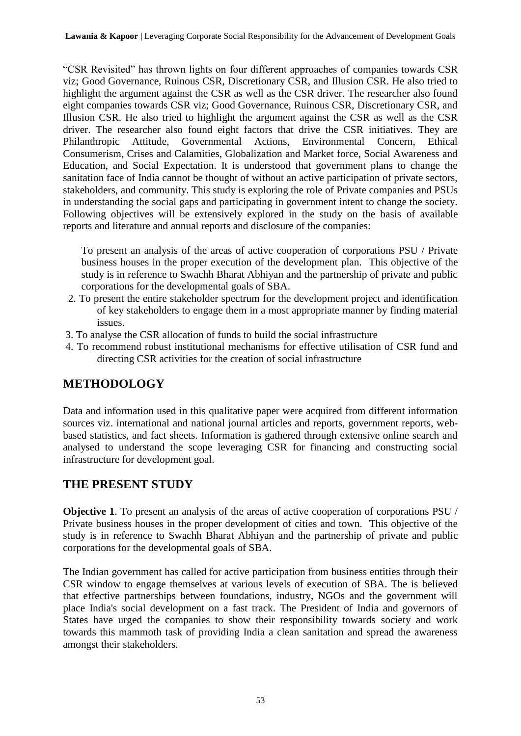"CSR Revisited" has thrown lights on four different approaches of companies towards CSR viz; Good Governance, Ruinous CSR, Discretionary CSR, and Illusion CSR. He also tried to highlight the argument against the CSR as well as the CSR driver. The researcher also found eight companies towards CSR viz; Good Governance, Ruinous CSR, Discretionary CSR, and Illusion CSR. He also tried to highlight the argument against the CSR as well as the CSR driver. The researcher also found eight factors that drive the CSR initiatives. They are Philanthropic Attitude, Governmental Actions, Environmental Concern, Ethical Consumerism, Crises and Calamities, Globalization and Market force, Social Awareness and Education, and Social Expectation. It is understood that government plans to change the sanitation face of India cannot be thought of without an active participation of private sectors, stakeholders, and community. This study is exploring the role of Private companies and PSUs in understanding the social gaps and participating in government intent to change the society. Following objectives will be extensively explored in the study on the basis of available reports and literature and annual reports and disclosure of the companies:

To present an analysis of the areas of active cooperation of corporations PSU / Private business houses in the proper execution of the development plan. This objective of the study is in reference to Swachh Bharat Abhiyan and the partnership of private and public corporations for the developmental goals of SBA.

- 2. To present the entire stakeholder spectrum for the development project and identification of key stakeholders to engage them in a most appropriate manner by finding material issues.
- 3. To analyse the CSR allocation of funds to build the social infrastructure
- 4. To recommend robust institutional mechanisms for effective utilisation of CSR fund and directing CSR activities for the creation of social infrastructure

# **METHODOLOGY**

Data and information used in this qualitative paper were acquired from different information sources viz. international and national journal articles and reports, government reports, webbased statistics, and fact sheets. Information is gathered through extensive online search and analysed to understand the scope leveraging CSR for financing and constructing social infrastructure for development goal.

# **THE PRESENT STUDY**

**Objective 1**. To present an analysis of the areas of active cooperation of corporations PSU / Private business houses in the proper development of cities and town. This objective of the study is in reference to Swachh Bharat Abhiyan and the partnership of private and public corporations for the developmental goals of SBA.

The Indian government has called for active participation from business entities through their CSR window to engage themselves at various levels of execution of SBA. The is believed that effective partnerships between foundations, industry, NGOs and the government will place India's social development on a fast track. The President of India and governors of States have urged the companies to show their responsibility towards society and work towards this mammoth task of providing India a clean sanitation and spread the awareness amongst their stakeholders.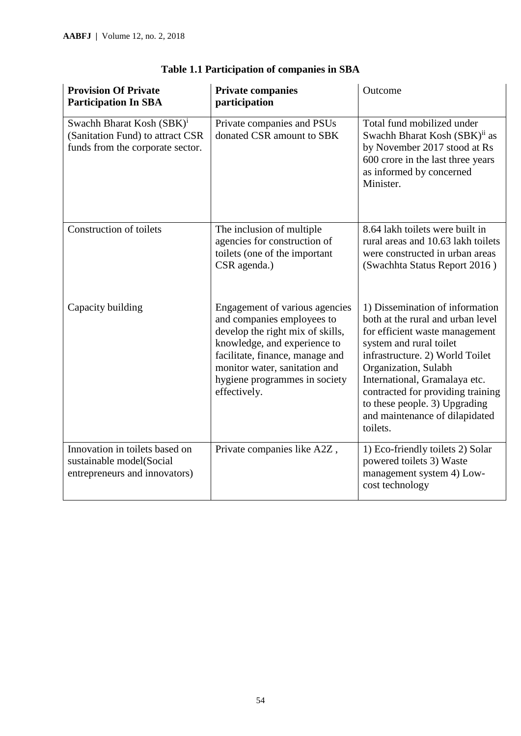| <b>Provision Of Private</b><br><b>Participation In SBA</b>                                                    | <b>Private companies</b><br>participation                                                                                                                                                                                                             | Outcome                                                                                                                                                                                                                                                                                                                                           |
|---------------------------------------------------------------------------------------------------------------|-------------------------------------------------------------------------------------------------------------------------------------------------------------------------------------------------------------------------------------------------------|---------------------------------------------------------------------------------------------------------------------------------------------------------------------------------------------------------------------------------------------------------------------------------------------------------------------------------------------------|
| Swachh Bharat Kosh (SBK) <sup>i</sup><br>(Sanitation Fund) to attract CSR<br>funds from the corporate sector. | Private companies and PSUs<br>donated CSR amount to SBK                                                                                                                                                                                               | Total fund mobilized under<br>Swachh Bharat Kosh (SBK) <sup>ii</sup> as<br>by November 2017 stood at Rs<br>600 crore in the last three years<br>as informed by concerned<br>Minister.                                                                                                                                                             |
| <b>Construction of toilets</b>                                                                                | The inclusion of multiple<br>agencies for construction of<br>toilets (one of the important<br>CSR agenda.)                                                                                                                                            | 8.64 lakh toilets were built in<br>rural areas and 10.63 lakh toilets<br>were constructed in urban areas<br>(Swachhta Status Report 2016)                                                                                                                                                                                                         |
| Capacity building                                                                                             | Engagement of various agencies<br>and companies employees to<br>develop the right mix of skills,<br>knowledge, and experience to<br>facilitate, finance, manage and<br>monitor water, sanitation and<br>hygiene programmes in society<br>effectively. | 1) Dissemination of information<br>both at the rural and urban level<br>for efficient waste management<br>system and rural toilet<br>infrastructure. 2) World Toilet<br>Organization, Sulabh<br>International, Gramalaya etc.<br>contracted for providing training<br>to these people. 3) Upgrading<br>and maintenance of dilapidated<br>toilets. |
| Innovation in toilets based on<br>sustainable model(Social<br>entrepreneurs and innovators)                   | Private companies like A2Z,                                                                                                                                                                                                                           | 1) Eco-friendly toilets 2) Solar<br>powered toilets 3) Waste<br>management system 4) Low-<br>cost technology                                                                                                                                                                                                                                      |

# **Table 1.1 Participation of companies in SBA**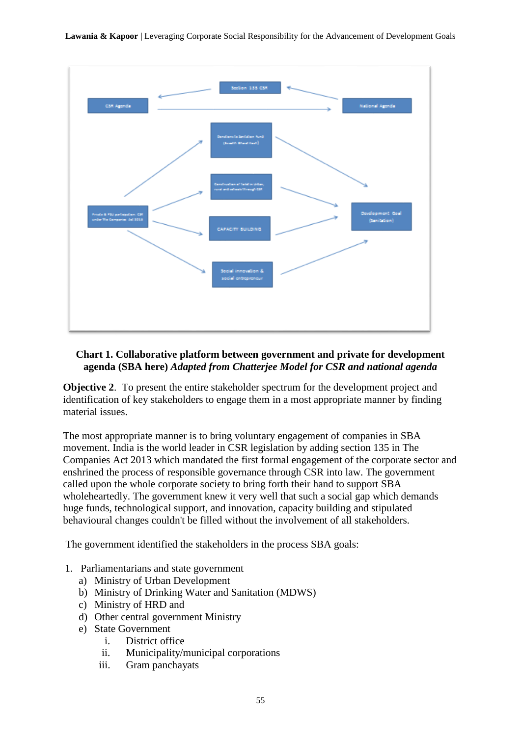

#### **Chart 1. Collaborative platform between government and private for development agenda (SBA here)** *Adapted from Chatterjee Model for CSR and national agenda*

**Objective 2.** To present the entire stakeholder spectrum for the development project and identification of key stakeholders to engage them in a most appropriate manner by finding material issues.

The most appropriate manner is to bring voluntary engagement of companies in SBA movement. India is the world leader in CSR legislation by adding section 135 in The Companies Act 2013 which mandated the first formal engagement of the corporate sector and enshrined the process of responsible governance through CSR into law. The government called upon the whole corporate society to bring forth their hand to support SBA wholeheartedly. The government knew it very well that such a social gap which demands huge funds, technological support, and innovation, capacity building and stipulated behavioural changes couldn't be filled without the involvement of all stakeholders.

The government identified the stakeholders in the process SBA goals:

- 1. Parliamentarians and state government
	- a) Ministry of Urban Development
	- b) Ministry of Drinking Water and Sanitation (MDWS)
	- c) Ministry of HRD and
	- d) Other central government Ministry
	- e) State Government
		- i. District office
		- ii. Municipality/municipal corporations
		- iii. Gram panchayats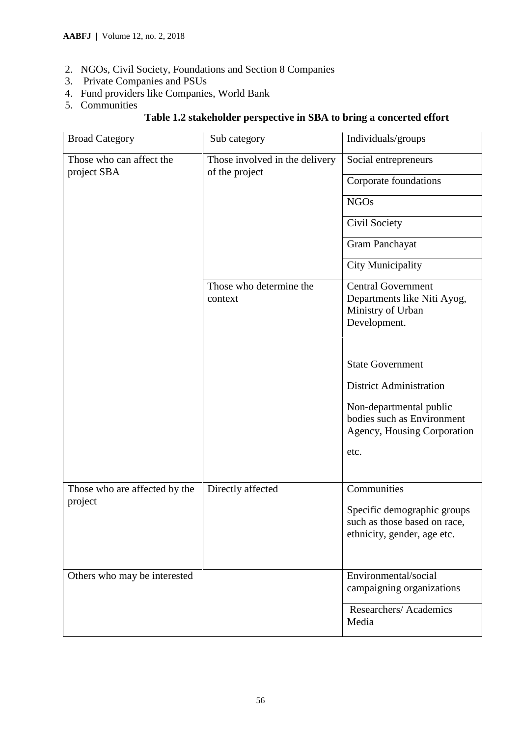- 2. NGOs, Civil Society, Foundations and Section 8 Companies
- 3. Private Companies and PSUs
- 4. Fund providers like Companies, World Bank
- 5. Communities

# **Table 1.2 stakeholder perspective in SBA to bring a concerted effort**

| <b>Broad Category</b>                    | Sub category                                     | Individuals/groups                                                                                                                                                                                                                                         |
|------------------------------------------|--------------------------------------------------|------------------------------------------------------------------------------------------------------------------------------------------------------------------------------------------------------------------------------------------------------------|
| Those who can affect the<br>project SBA  | Those involved in the delivery<br>of the project | Social entrepreneurs<br>Corporate foundations<br><b>NGOs</b><br>Civil Society<br><b>Gram Panchayat</b><br><b>City Municipality</b>                                                                                                                         |
|                                          | Those who determine the<br>context               | <b>Central Government</b><br>Departments like Niti Ayog,<br>Ministry of Urban<br>Development.<br><b>State Government</b><br><b>District Administration</b><br>Non-departmental public<br>bodies such as Environment<br>Agency, Housing Corporation<br>etc. |
| Those who are affected by the<br>project | Directly affected                                | Communities<br>Specific demographic groups<br>such as those based on race.<br>ethnicity, gender, age etc.                                                                                                                                                  |
| Others who may be interested             |                                                  | Environmental/social<br>campaigning organizations                                                                                                                                                                                                          |
|                                          |                                                  | Researchers/Academics<br>Media                                                                                                                                                                                                                             |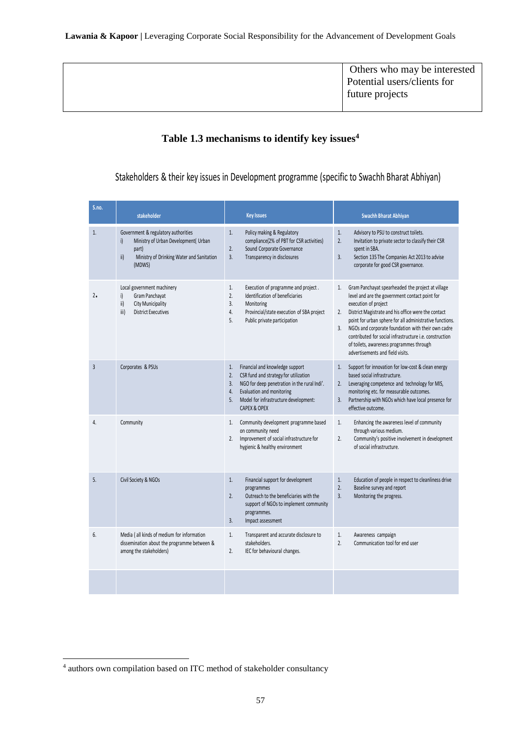**Lawania & Kapoor |** Leveraging Corporate Social Responsibility for the Advancement of Development Goals

Others who may be interested Potential users/clients for future projects

## **Table 1.3 mechanisms to identify key issues<sup>4</sup>**

Stakeholders & their key issues in Development programme (specific to Swachh Bharat Abhiyan)

| S.no.          | stakeholder                                                                                                                                                        | <b>Key Issues</b>                                                                                                                                                                                                                            | <b>Swachh Bharat Abhiyan</b>                                                                                                                                                                                                                                                                                                                                                                                                                                      |
|----------------|--------------------------------------------------------------------------------------------------------------------------------------------------------------------|----------------------------------------------------------------------------------------------------------------------------------------------------------------------------------------------------------------------------------------------|-------------------------------------------------------------------------------------------------------------------------------------------------------------------------------------------------------------------------------------------------------------------------------------------------------------------------------------------------------------------------------------------------------------------------------------------------------------------|
| 1.             | Government & regulatory authorities<br>Ministry of Urban Development( Urban<br>$\mathsf{i}$<br>part)<br>ii)<br>Ministry of Drinking Water and Sanitation<br>(MDWS) | 1.<br>Policy making & Regulatory<br>compliance(2% of PBT for CSR activities)<br>2.<br>Sound Corporate Governance<br>3.<br>Transparency in disclosures                                                                                        | 1.<br>Advisory to PSU to construct toilets.<br>2.<br>Invitation to private sector to classify their CSR<br>spent in SBA.<br>Section 135 The Companies Act 2013 to advise<br>3.<br>corporate for good CSR governance.                                                                                                                                                                                                                                              |
| 2.             | Local government machinery<br>Gram Panchayat<br>i)<br>ii)<br><b>City Municipality</b><br>iii)<br><b>District Executives</b>                                        | 1.<br>Execution of programme and project.<br>2.<br>Identification of beneficiaries<br>3.<br>Monitoring<br>Provincial/state execution of SBA project<br>4.<br>Public private participation<br>5.                                              | Gram Panchayat spearheaded the project at village<br>1.<br>level and are the government contact point for<br>execution of project<br>District Magistrate and his office were the contact<br>2.<br>point for urban sphere for all administrative functions.<br>NGOs and corporate foundation with their own cadre<br>3.<br>contributed for social infrastructure i.e. construction<br>of toilets, awareness programmes through<br>advertisements and field visits. |
| $\overline{3}$ | Corporates & PSUs                                                                                                                                                  | Financial and knowledge support<br>1.<br>CSR fund and strategy for utilization<br>2.<br>NGO for deep penetration in the rural Indi'.<br>3.<br>Evaluation and monitoring<br>4.<br>Model for infrastructure development:<br>5.<br>CAPEX & OPEX | Support for innovation for low-cost & clean energy<br>1.<br>based social infrastructure.<br>2. Leveraging competence and technology for MIS,<br>monitoring etc. for measurable outcomes.<br>Partnership with NGOs which have local presence for<br>3.<br>effective outcome.                                                                                                                                                                                       |
| 4.             | Community                                                                                                                                                          | Community development programme based<br>1.<br>on community need<br>Improvement of social infrastructure for<br>2.<br>hygienic & healthy environment                                                                                         | Enhancing the awareness level of community<br>1.<br>through various medium.<br>2.<br>Community's positive involvement in development<br>of social infrastructure.                                                                                                                                                                                                                                                                                                 |
| 5.             | Civil Society & NGOs                                                                                                                                               | 1.<br>Financial support for development<br>programmes<br>Outreach to the beneficiaries with the<br>2.<br>support of NGOs to implement community<br>programmes.<br>3.<br>Impact assessment                                                    | 1.<br>Education of people in respect to cleanliness drive<br>2.<br>Baseline survey and report<br>3.<br>Monitoring the progress.                                                                                                                                                                                                                                                                                                                                   |
| 6.             | Media (all kinds of medium for information<br>dissemination about the programme between &<br>among the stakeholders)                                               | 1.<br>Transparent and accurate disclosure to<br>stakeholders.<br>2.<br>IEC for behavioural changes.                                                                                                                                          | 1.<br>Awareness campaign<br>2.<br>Communication tool for end user                                                                                                                                                                                                                                                                                                                                                                                                 |
|                |                                                                                                                                                                    |                                                                                                                                                                                                                                              |                                                                                                                                                                                                                                                                                                                                                                                                                                                                   |

**-**

<sup>4</sup> authors own compilation based on ITC method of stakeholder consultancy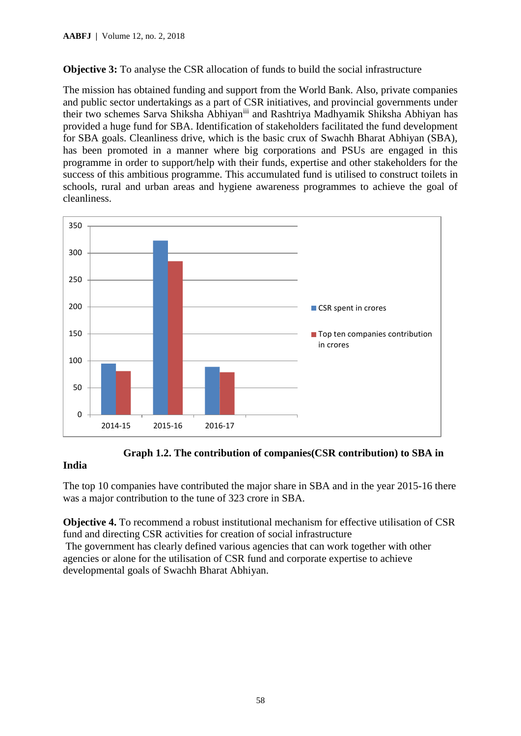**Objective 3:** To analyse the CSR allocation of funds to build the social infrastructure

The mission has obtained funding and support from the World Bank. Also, private companies and public sector undertakings as a part of CSR initiatives, and provincial governments under their two schemes Sarva Shiksha Abhiyaniii and Rashtriya Madhyamik Shiksha Abhiyan has provided a huge fund for SBA. Identification of stakeholders facilitated the fund development for SBA goals. Cleanliness drive, which is the basic crux of Swachh Bharat Abhiyan (SBA), has been promoted in a manner where big corporations and PSUs are engaged in this programme in order to support/help with their funds, expertise and other stakeholders for the success of this ambitious programme. This accumulated fund is utilised to construct toilets in schools, rural and urban areas and hygiene awareness programmes to achieve the goal of cleanliness.



 **Graph 1.2. The contribution of companies(CSR contribution) to SBA in** 

#### **India**

The top 10 companies have contributed the major share in SBA and in the year 2015-16 there was a major contribution to the tune of 323 crore in SBA.

**Objective 4.** To recommend a robust institutional mechanism for effective utilisation of CSR fund and directing CSR activities for creation of social infrastructure

The government has clearly defined various agencies that can work together with other agencies or alone for the utilisation of CSR fund and corporate expertise to achieve developmental goals of Swachh Bharat Abhiyan.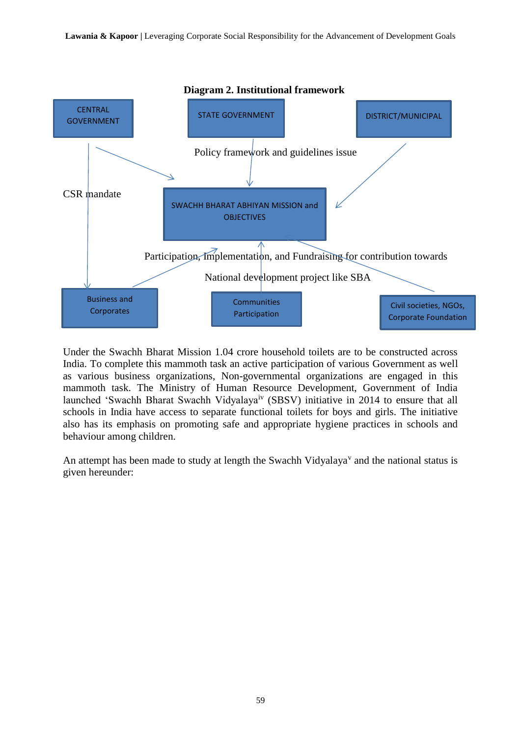

Under the Swachh Bharat Mission 1.04 crore household toilets are to be constructed across India. To complete this mammoth task an active participation of various Government as well as various business organizations, Non-governmental organizations are engaged in this mammoth task. The Ministry of Human Resource Development, Government of India launched 'Swachh Bharat Swachh Vidyalayaiv (SBSV) initiative in 2014 to ensure that all schools in India have access to separate functional toilets for boys and girls. The initiative also has its emphasis on promoting safe and appropriate hygiene practices in schools and behaviour among children.

An attempt has been made to study at length the Swachh Vidyalaya $v$  and the national status is given hereunder: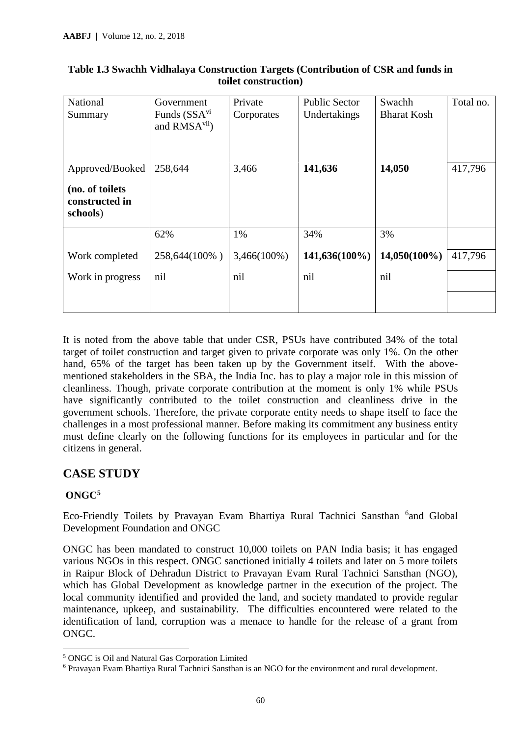| National<br>Summary                                              | Government<br>Funds (SSA <sup>vi</sup><br>and RMSA <sup>vii</sup> ) | Private<br>Corporates | <b>Public Sector</b><br>Undertakings | Swachh<br><b>Bharat Kosh</b> | Total no. |
|------------------------------------------------------------------|---------------------------------------------------------------------|-----------------------|--------------------------------------|------------------------------|-----------|
| Approved/Booked<br>(no. of toilets<br>constructed in<br>schools) | 258,644                                                             | 3,466                 | 141,636                              | 14,050                       | 417,796   |
|                                                                  | 62%                                                                 | 1%                    | 34%                                  | 3%                           |           |
| Work completed                                                   | 258,644(100%)                                                       | $3,466(100\%)$        | 141,636(100%)                        | $14,050(100\%)$              | 417,796   |
| Work in progress                                                 | nil                                                                 | nil                   | nil                                  | nil                          |           |

#### **Table 1.3 Swachh Vidhalaya Construction Targets (Contribution of CSR and funds in toilet construction)**

It is noted from the above table that under CSR, PSUs have contributed 34% of the total target of toilet construction and target given to private corporate was only 1%. On the other hand, 65% of the target has been taken up by the Government itself. With the abovementioned stakeholders in the SBA, the India Inc. has to play a major role in this mission of cleanliness. Though, private corporate contribution at the moment is only 1% while PSUs have significantly contributed to the toilet construction and cleanliness drive in the government schools. Therefore, the private corporate entity needs to shape itself to face the challenges in a most professional manner. Before making its commitment any business entity must define clearly on the following functions for its employees in particular and for the citizens in general.

# **CASE STUDY**

## **ONGC<sup>5</sup>**

**.** 

Eco-Friendly Toilets by Pravayan Evam Bhartiya Rural Tachnici Sansthan <sup>6</sup>and Global Development Foundation and ONGC

ONGC has been mandated to construct 10,000 toilets on PAN India basis; it has engaged various NGOs in this respect. ONGC sanctioned initially 4 toilets and later on 5 more toilets in Raipur Block of Dehradun District to Pravayan Evam Rural Tachnici Sansthan (NGO), which has Global Development as knowledge partner in the execution of the project. The local community identified and provided the land, and society mandated to provide regular maintenance, upkeep, and sustainability. The difficulties encountered were related to the identification of land, corruption was a menace to handle for the release of a grant from ONGC.

<sup>5</sup> ONGC is Oil and Natural Gas Corporation Limited

<sup>6</sup> Pravayan Evam Bhartiya Rural Tachnici Sansthan is an NGO for the environment and rural development.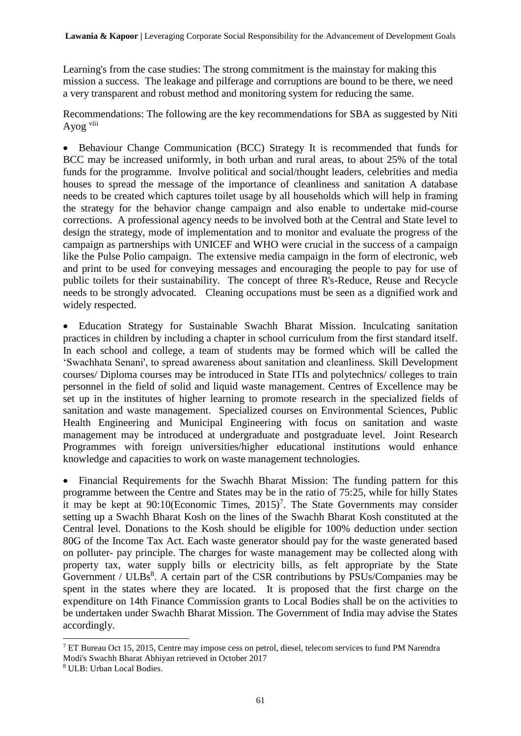Learning's from the case studies: The strong commitment is the mainstay for making this mission a success. The leakage and pilferage and corruptions are bound to be there, we need a very transparent and robust method and monitoring system for reducing the same.

Recommendations: The following are the key recommendations for SBA as suggested by Niti Ayog viii

• Behaviour Change Communication (BCC) Strategy It is recommended that funds for BCC may be increased uniformly, in both urban and rural areas, to about 25% of the total funds for the programme. Involve political and social/thought leaders, celebrities and media houses to spread the message of the importance of cleanliness and sanitation A database needs to be created which captures toilet usage by all households which will help in framing the strategy for the behavior change campaign and also enable to undertake mid-course corrections. A professional agency needs to be involved both at the Central and State level to design the strategy, mode of implementation and to monitor and evaluate the progress of the campaign as partnerships with UNICEF and WHO were crucial in the success of a campaign like the Pulse Polio campaign. The extensive media campaign in the form of electronic, web and print to be used for conveying messages and encouraging the people to pay for use of public toilets for their sustainability. The concept of three R's-Reduce, Reuse and Recycle needs to be strongly advocated. Cleaning occupations must be seen as a dignified work and widely respected.

• Education Strategy for Sustainable Swachh Bharat Mission. Inculcating sanitation practices in children by including a chapter in school curriculum from the first standard itself. In each school and college, a team of students may be formed which will be called the 'Swachhata Senani', to spread awareness about sanitation and cleanliness. Skill Development courses/ Diploma courses may be introduced in State ITIs and polytechnics/ colleges to train personnel in the field of solid and liquid waste management. Centres of Excellence may be set up in the institutes of higher learning to promote research in the specialized fields of sanitation and waste management. Specialized courses on Environmental Sciences, Public Health Engineering and Municipal Engineering with focus on sanitation and waste management may be introduced at undergraduate and postgraduate level. Joint Research Programmes with foreign universities/higher educational institutions would enhance knowledge and capacities to work on waste management technologies.

• Financial Requirements for the Swachh Bharat Mission: The funding pattern for this programme between the Centre and States may be in the ratio of 75:25, while for hilly States it may be kept at  $90:10$ (Economic Times,  $2015$ )<sup>7</sup>. The State Governments may consider setting up a Swachh Bharat Kosh on the lines of the Swachh Bharat Kosh constituted at the Central level. Donations to the Kosh should be eligible for 100% deduction under section 80G of the Income Tax Act. Each waste generator should pay for the waste generated based on polluter- pay principle. The charges for waste management may be collected along with property tax, water supply bills or electricity bills, as felt appropriate by the State Government /  $ULBs<sup>8</sup>$ . A certain part of the CSR contributions by PSUs/Companies may be spent in the states where they are located. It is proposed that the first charge on the expenditure on 14th Finance Commission grants to Local Bodies shall be on the activities to be undertaken under Swachh Bharat Mission. The Government of India may advise the States accordingly.

1

<sup>7</sup> ET Bureau Oct 15, 2015, Centre may impose cess on petrol, diesel, telecom services to fund PM Narendra Modi's Swachh Bharat Abhiyan retrieved in October 2017

<sup>8</sup> ULB: Urban Local Bodies.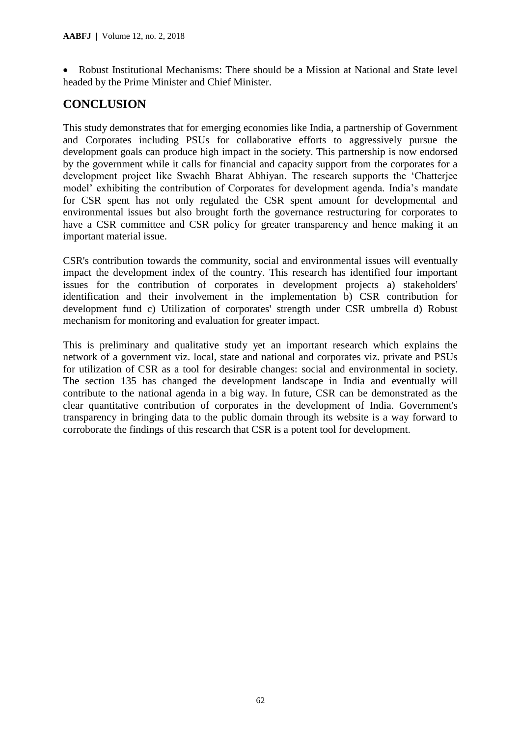• Robust Institutional Mechanisms: There should be a Mission at National and State level headed by the Prime Minister and Chief Minister.

# **CONCLUSION**

This study demonstrates that for emerging economies like India, a partnership of Government and Corporates including PSUs for collaborative efforts to aggressively pursue the development goals can produce high impact in the society. This partnership is now endorsed by the government while it calls for financial and capacity support from the corporates for a development project like Swachh Bharat Abhiyan. The research supports the 'Chatterjee model' exhibiting the contribution of Corporates for development agenda. India's mandate for CSR spent has not only regulated the CSR spent amount for developmental and environmental issues but also brought forth the governance restructuring for corporates to have a CSR committee and CSR policy for greater transparency and hence making it an important material issue.

CSR's contribution towards the community, social and environmental issues will eventually impact the development index of the country. This research has identified four important issues for the contribution of corporates in development projects a) stakeholders' identification and their involvement in the implementation b) CSR contribution for development fund c) Utilization of corporates' strength under CSR umbrella d) Robust mechanism for monitoring and evaluation for greater impact.

This is preliminary and qualitative study yet an important research which explains the network of a government viz. local, state and national and corporates viz. private and PSUs for utilization of CSR as a tool for desirable changes: social and environmental in society. The section 135 has changed the development landscape in India and eventually will contribute to the national agenda in a big way. In future, CSR can be demonstrated as the clear quantitative contribution of corporates in the development of India. Government's transparency in bringing data to the public domain through its website is a way forward to corroborate the findings of this research that CSR is a potent tool for development.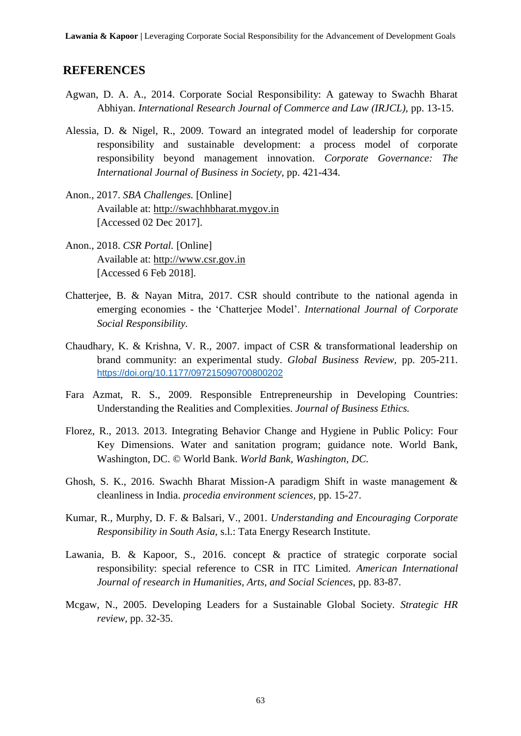#### **REFERENCES**

- Agwan, D. A. A., 2014. Corporate Social Responsibility: A gateway to Swachh Bharat Abhiyan. *International Research Journal of Commerce and Law (IRJCL),* pp. 13-15.
- Alessia, D. & Nigel, R., 2009. Toward an integrated model of leadership for corporate responsibility and sustainable development: a process model of corporate responsibility beyond management innovation. *Corporate Governance: The International Journal of Business in Society,* pp. 421-434.
- Anon., 2017. *SBA Challenges.* [Online] Available at: http://swachhbharat.mygov.in [Accessed 02 Dec 2017].
- Anon., 2018. *CSR Portal.* [Online] Available at: http://www.csr.gov.in [Accessed 6 Feb 2018].
- Chatterjee, B. & Nayan Mitra, 2017. CSR should contribute to the national agenda in emerging economies - the 'Chatterjee Model'. *International Journal of Corporate Social Responsibility.*
- Chaudhary, K. & Krishna, V. R., 2007. impact of CSR & transformational leadership on brand community: an experimental study. *Global Business Review,* pp. 205-211. <https://doi.org/10.1177/097215090700800202>
- Fara Azmat, R. S., 2009. Responsible Entrepreneurship in Developing Countries: Understanding the Realities and Complexities. *Journal of Business Ethics.*
- Florez, R., 2013. 2013. Integrating Behavior Change and Hygiene in Public Policy: Four Key Dimensions. Water and sanitation program; guidance note. World Bank, Washington, DC. © World Bank. *World Bank, Washington, DC.*
- Ghosh, S. K., 2016. Swachh Bharat Mission-A paradigm Shift in waste management & cleanliness in India. *procedia environment sciences,* pp. 15-27.
- Kumar, R., Murphy, D. F. & Balsari, V., 2001. *Understanding and Encouraging Corporate Responsibility in South Asia,* s.l.: Tata Energy Research Institute.
- Lawania, B. & Kapoor, S., 2016. concept & practice of strategic corporate social responsibility: special reference to CSR in ITC Limited. *American International Journal of research in Humanities, Arts, and Social Sciences,* pp. 83-87.
- Mcgaw, N., 2005. Developing Leaders for a Sustainable Global Society. *Strategic HR review,* pp. 32-35.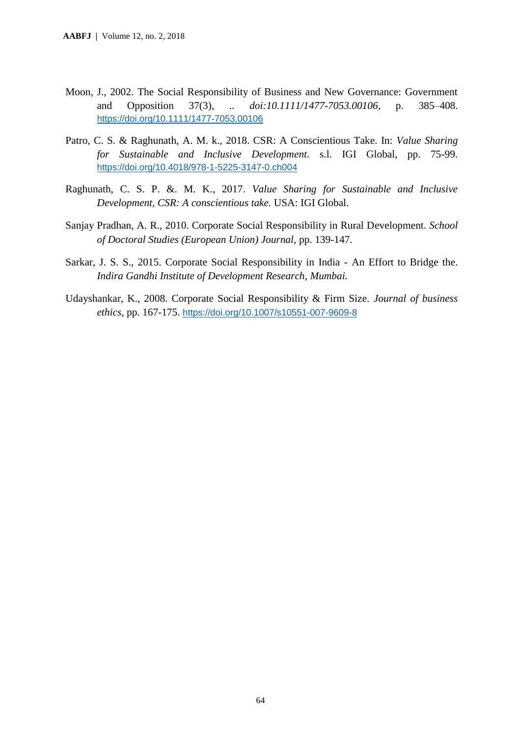- Moon, J., 2002. The Social Responsibility of Business and New Governance: Government and Opposition 37(3), .. *doi:10.1111/1477-7053.00106,* p. 385–408. <https://doi.org/10.1111/1477-7053.00106>
- Patro, C. S. & Raghunath, A. M. k., 2018. CSR: A Conscientious Take. In: *Value Sharing for Sustainable and Inclusive Development.* s.l. IGI Global, pp. 75-99. <https://doi.org/10.4018/978-1-5225-3147-0.ch004>
- Raghunath, C. S. P. &. M. K., 2017. *Value Sharing for Sustainable and Inclusive Development, CSR: A conscientious take.* USA: IGI Global.
- Sanjay Pradhan, A. R., 2010. Corporate Social Responsibility in Rural Development. *School of Doctoral Studies (European Union) Journal,* pp. 139-147.
- Sarkar, J. S. S., 2015. Corporate Social Responsibility in India An Effort to Bridge the. *Indira Gandhi Institute of Development Research, Mumbai.*
- Udayshankar, K., 2008. Corporate Social Responsibility & Firm Size. *Journal of business ethics,* pp. 167-175. <https://doi.org/10.1007/s10551-007-9609-8>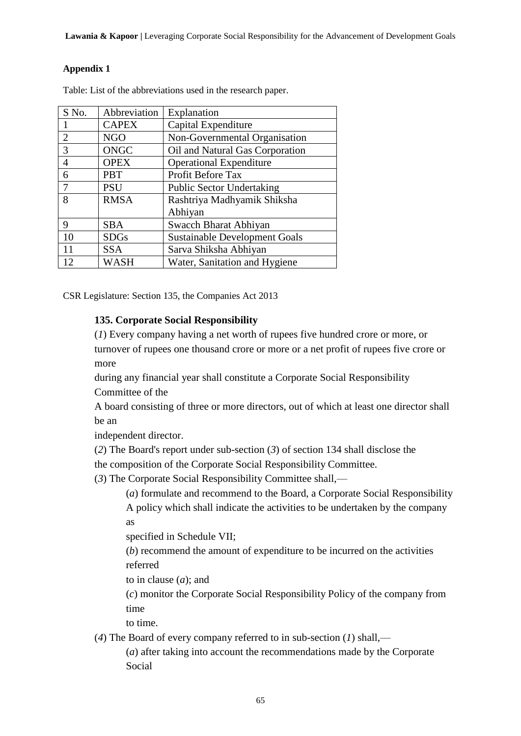#### **Appendix 1**

| S No. | Abbreviation | Explanation                          |
|-------|--------------|--------------------------------------|
|       | <b>CAPEX</b> | Capital Expenditure                  |
| 2     | <b>NGO</b>   | Non-Governmental Organisation        |
| 3     | <b>ONGC</b>  | Oil and Natural Gas Corporation      |
| 4     | <b>OPEX</b>  | <b>Operational Expenditure</b>       |
| 6     | <b>PBT</b>   | Profit Before Tax                    |
|       | <b>PSU</b>   | <b>Public Sector Undertaking</b>     |
| 8     | <b>RMSA</b>  | Rashtriya Madhyamik Shiksha          |
|       |              | Abhiyan                              |
| 9     | <b>SBA</b>   | Swacch Bharat Abhiyan                |
| 10    | <b>SDGs</b>  | <b>Sustainable Development Goals</b> |
| 11    | <b>SSA</b>   | Sarva Shiksha Abhiyan                |
| 12    | WASH         | Water, Sanitation and Hygiene        |

Table: List of the abbreviations used in the research paper.

CSR Legislature: Section 135, the Companies Act 2013

#### **135. Corporate Social Responsibility**

(*1*) Every company having a net worth of rupees five hundred crore or more, or turnover of rupees one thousand crore or more or a net profit of rupees five crore or more

during any financial year shall constitute a Corporate Social Responsibility Committee of the

A board consisting of three or more directors, out of which at least one director shall be an

independent director.

(*2*) The Board's report under sub-section (*3*) of section 134 shall disclose the

the composition of the Corporate Social Responsibility Committee.

(*3*) The Corporate Social Responsibility Committee shall,—

(*a*) formulate and recommend to the Board, a Corporate Social Responsibility A policy which shall indicate the activities to be undertaken by the company as

specified in Schedule VII;

(*b*) recommend the amount of expenditure to be incurred on the activities referred

to in clause (*a*); and

(*c*) monitor the Corporate Social Responsibility Policy of the company from time

to time.

(*4*) The Board of every company referred to in sub-section (*1*) shall,—

(*a*) after taking into account the recommendations made by the Corporate Social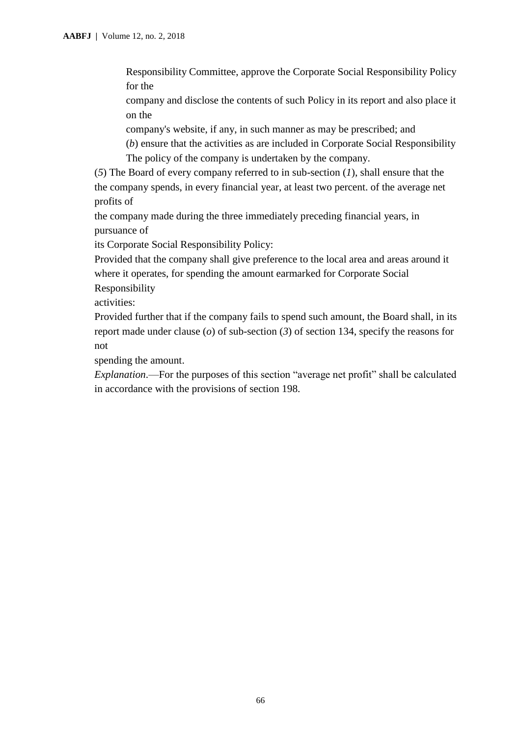Responsibility Committee, approve the Corporate Social Responsibility Policy for the

company and disclose the contents of such Policy in its report and also place it on the

company's website, if any, in such manner as may be prescribed; and

(*b*) ensure that the activities as are included in Corporate Social Responsibility The policy of the company is undertaken by the company.

(*5*) The Board of every company referred to in sub-section (*1*), shall ensure that the the company spends, in every financial year, at least two percent. of the average net profits of

the company made during the three immediately preceding financial years, in pursuance of

its Corporate Social Responsibility Policy:

Provided that the company shall give preference to the local area and areas around it where it operates, for spending the amount earmarked for Corporate Social Responsibility

activities:

Provided further that if the company fails to spend such amount, the Board shall, in its report made under clause (*o*) of sub-section (*3*) of section 134, specify the reasons for not

spending the amount.

*Explanation*.—For the purposes of this section "average net profit" shall be calculated in accordance with the provisions of section 198.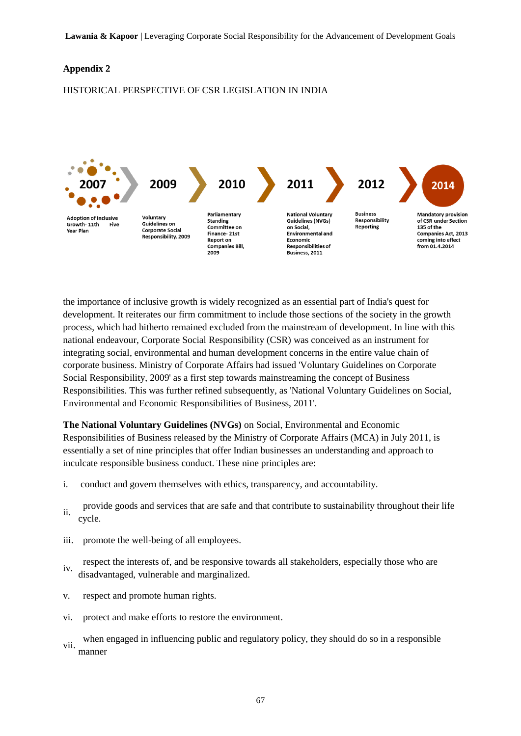#### **Appendix 2**

#### HISTORICAL PERSPECTIVE OF CSR LEGISLATION IN INDIA



the importance of inclusive growth is widely recognized as an essential part of India's quest for development. It reiterates our firm commitment to include those sections of the society in the growth process, which had hitherto remained excluded from the mainstream of development. In line with this national endeavour, Corporate Social Responsibility (CSR) was conceived as an instrument for integrating social, environmental and human development concerns in the entire value chain of corporate business. Ministry of Corporate Affairs had issued 'Voluntary Guidelines on Corporate Social Responsibility, 2009' as a first step towards mainstreaming the concept of Business Responsibilities. This was further refined subsequently, as 'National Voluntary Guidelines on Social, Environmental and Economic Responsibilities of Business, 2011'.

**[The National Voluntary Guidelines \(NVGs\)](http://www.mca.gov.in/Ministry/latestnews/National_Voluntary_Guidelines_2011_12jul2011.pdf)** on Social, Environmental and Economic Responsibilities of Business released by the Ministry of Corporate Affairs (MCA) in July 2011, is essentially a set of nine principles that offer Indian businesses an understanding and approach to inculcate responsible business conduct. These nine principles are:

- i. conduct and govern themselves with ethics, transparency, and accountability.
- ii. provide goods and services that are safe and that contribute to sustainability throughout their life cycle.
- iii. promote the well-being of all employees.
- iv. respect the interests of, and be responsive towards all stakeholders, especially those who are disadvantaged, vulnerable and marginalized.
- v. respect and promote human rights.
- vi. protect and make efforts to restore the environment.
- vii. when engaged in influencing public and regulatory policy, they should do so in a responsible manner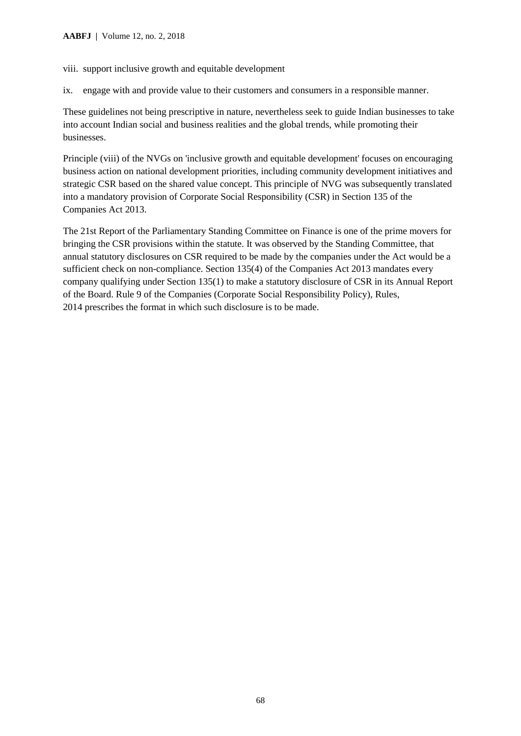viii. support inclusive growth and equitable development

ix. engage with and provide value to their customers and consumers in a responsible manner.

These guidelines not being prescriptive in nature, nevertheless seek to guide Indian businesses to take into account Indian social and business realities and the global trends, while promoting their businesses.

Principle (viii) of the NVGs on 'inclusive growth and equitable development' focuses on encouraging business action on national development priorities, including community development initiatives and strategic CSR based on the shared value concept. This principle of NVG was subsequently translated into a mandatory provision of Corporate Social Responsibility (CSR) in Section 135 of the Companies Act 2013.

The 21st Report of the Parliamentary Standing Committee on Finance is one of the prime movers for bringing the CSR provisions within the statute. It was observed by the Standing Committee, that annual statutory disclosures on CSR required to be made by the companies under the Act would be a sufficient check on non-compliance. [Section 135\(4\) of the Companies Act 2013](http://www.mca.gov.in/SearchableActs/Section135.htm) mandates every company qualifying under Section 135(1) to make a statutory disclosure of CSR in its Annual Report of the Board. Rule 9 of the [Companies \(Corporate Social Responsibility Policy\), Rules,](http://mca.gov.in/Ministry/pdf/CompaniesActNotification2_2014.pdf)  [2014](http://mca.gov.in/Ministry/pdf/CompaniesActNotification2_2014.pdf) prescribes the format in which such disclosure is to be made.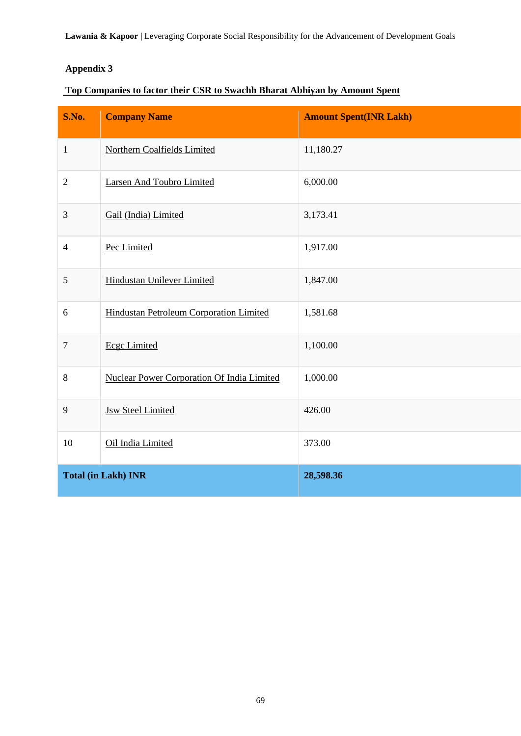**Lawania & Kapoor |** Leveraging Corporate Social Responsibility for the Advancement of Development Goals

# **Appendix 3**

# **[Top Companies to factor their CSR to Swachh Bharat Abhiyan by Amount Spent](http://csr.gov.in/CSR/mactivity.php?year=FY%202015-16&csr_spent_range=&compCat=&state=&district=&mact=Swachh%20Bharat%20Kosh#collapseThree)**

| S.No.          | <b>Company Name</b>                               | <b>Amount Spent(INR Lakh)</b> |
|----------------|---------------------------------------------------|-------------------------------|
| $\mathbf{1}$   | Northern Coalfields Limited                       | 11,180.27                     |
| $\overline{2}$ | <b>Larsen And Toubro Limited</b>                  | 6,000.00                      |
| 3              | Gail (India) Limited                              | 3,173.41                      |
| $\overline{4}$ | Pec Limited                                       | 1,917.00                      |
| $\mathfrak s$  | <b>Hindustan Unilever Limited</b>                 | 1,847.00                      |
| 6              | Hindustan Petroleum Corporation Limited           | 1,581.68                      |
| 7              | <b>Ecgc Limited</b>                               | 1,100.00                      |
| $8\,$          | <b>Nuclear Power Corporation Of India Limited</b> | 1,000.00                      |
| 9              | <b>Jsw Steel Limited</b>                          | 426.00                        |
| 10             | Oil India Limited                                 | 373.00                        |
|                | <b>Total (in Lakh) INR</b>                        | 28,598.36                     |